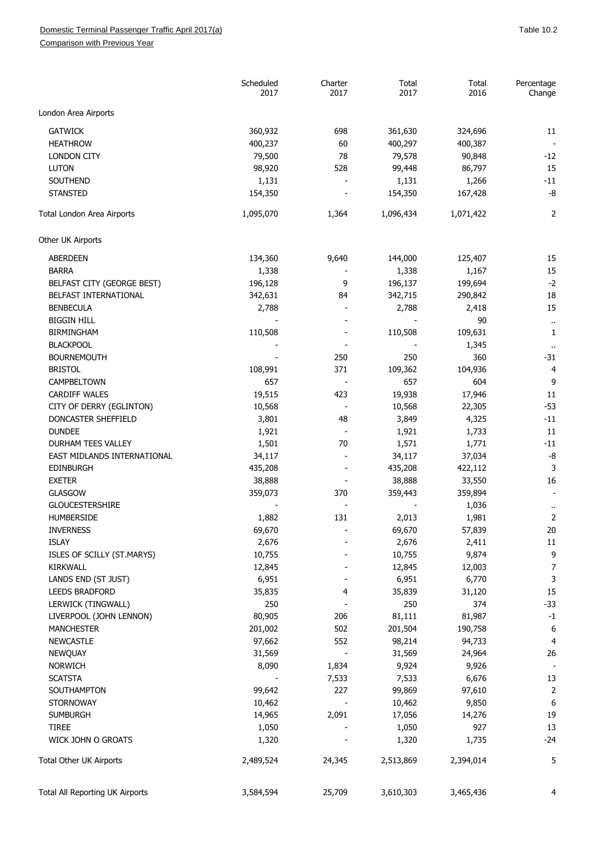## Domestic Terminal Passenger Traffic April 2017(a) and the state of the state of the San Table 10.2

Comparison with Previous Year

|                                 | Scheduled<br>2017 | Charter<br>2017          | Total<br>2017 | Total<br>2016 | Percentage<br>Change      |
|---------------------------------|-------------------|--------------------------|---------------|---------------|---------------------------|
| London Area Airports            |                   |                          |               |               |                           |
| <b>GATWICK</b>                  | 360,932           | 698                      | 361,630       | 324,696       | 11                        |
| <b>HEATHROW</b>                 | 400,237           | 60                       | 400,297       | 400,387       |                           |
| <b>LONDON CITY</b>              | 79,500            | 78                       | 79,578        | 90,848        | $-12$                     |
| <b>LUTON</b>                    | 98,920            | 528                      | 99,448        | 86,797        | 15                        |
| SOUTHEND                        | 1,131             |                          | 1,131         | 1,266         | $-11$                     |
| <b>STANSTED</b>                 | 154,350           |                          | 154,350       | 167,428       | -8                        |
| Total London Area Airports      | 1,095,070         | 1,364                    | 1,096,434     | 1,071,422     | 2                         |
| Other UK Airports               |                   |                          |               |               |                           |
| <b>ABERDEEN</b>                 | 134,360           | 9,640                    | 144,000       | 125,407       | 15                        |
| <b>BARRA</b>                    | 1,338             |                          | 1,338         | 1,167         | 15                        |
| BELFAST CITY (GEORGE BEST)      | 196,128           | 9                        | 196,137       | 199,694       | $-2$                      |
| BELFAST INTERNATIONAL           | 342,631           | 84                       | 342,715       | 290,842       | 18                        |
| <b>BENBECULA</b>                | 2,788             |                          | 2,788         | 2,418         | 15                        |
| <b>BIGGIN HILL</b>              |                   |                          |               | 90            |                           |
| <b>BIRMINGHAM</b>               | 110,508           |                          | 110,508       | 109,631       | $\ddot{\phantom{1}}$<br>1 |
| <b>BLACKPOOL</b>                |                   |                          |               | 1,345         |                           |
| <b>BOURNEMOUTH</b>              |                   | 250                      | 250           | 360           | $-31$                     |
| <b>BRISTOL</b>                  | 108,991           | 371                      | 109,362       | 104,936       | $\overline{4}$            |
| CAMPBELTOWN                     | 657               |                          | 657           | 604           | 9                         |
| <b>CARDIFF WALES</b>            | 19,515            | 423                      | 19,938        | 17,946        | 11                        |
| CITY OF DERRY (EGLINTON)        | 10,568            | $\overline{\phantom{a}}$ | 10,568        | 22,305        | $-53$                     |
| DONCASTER SHEFFIELD             | 3,801             | 48                       | 3,849         | 4,325         | $-11$                     |
| <b>DUNDEE</b>                   | 1,921             |                          | 1,921         | 1,733         | 11                        |
| <b>DURHAM TEES VALLEY</b>       |                   | 70                       |               |               | -11                       |
| EAST MIDLANDS INTERNATIONAL     | 1,501             |                          | 1,571         | 1,771         | -8                        |
|                                 | 34,117            |                          | 34,117        | 37,034        | 3                         |
| <b>EDINBURGH</b>                | 435,208           |                          | 435,208       | 422,112       |                           |
| <b>EXETER</b>                   | 38,888            |                          | 38,888        | 33,550        | 16                        |
| <b>GLASGOW</b>                  | 359,073           | 370                      | 359,443       | 359,894       |                           |
| <b>GLOUCESTERSHIRE</b>          |                   |                          |               | 1,036         | $\ddot{\phantom{1}}$      |
| <b>HUMBERSIDE</b>               | 1,882             | 131                      | 2,013         | 1,981         | 2                         |
| <b>INVERNESS</b>                | 69,670            |                          | 69,670        | 57,839        | $20\,$                    |
| <b>ISLAY</b>                    | 2,676             |                          | 2,676         | 2,411         | $11\,$                    |
| ISLES OF SCILLY (ST.MARYS)      | 10,755            |                          | 10,755        | 9,874         | 9                         |
| <b>KIRKWALL</b>                 | 12,845            |                          | 12,845        | 12,003        | 7                         |
| LANDS END (ST JUST)             | 6,951             |                          | 6,951         | 6,770         | 3                         |
| <b>LEEDS BRADFORD</b>           | 35,835            | 4                        | 35,839        | 31,120        | 15                        |
| LERWICK (TINGWALL)              | 250               |                          | 250           | 374           | $-33$                     |
| LIVERPOOL (JOHN LENNON)         | 80,905            | 206                      | 81,111        | 81,987        | $-1$                      |
| <b>MANCHESTER</b>               | 201,002           | 502                      | 201,504       | 190,758       | $\boldsymbol{6}$          |
| <b>NEWCASTLE</b>                | 97,662            | 552                      | 98,214        | 94,733        | $\overline{4}$            |
| NEWQUAY                         | 31,569            |                          | 31,569        | 24,964        | 26                        |
| <b>NORWICH</b>                  | 8,090             | 1,834                    | 9,924         | 9,926         |                           |
| <b>SCATSTA</b>                  |                   | 7,533                    | 7,533         | 6,676         | 13                        |
| SOUTHAMPTON                     | 99,642            | 227                      | 99,869        | 97,610        | $\overline{2}$            |
| <b>STORNOWAY</b>                | 10,462            |                          | 10,462        | 9,850         | 6                         |
| <b>SUMBURGH</b>                 | 14,965            | 2,091                    | 17,056        | 14,276        | 19                        |
| <b>TIREE</b>                    | 1,050             |                          | 1,050         | 927           | 13                        |
| WICK JOHN O GROATS              | 1,320             |                          | 1,320         | 1,735         | $-24$                     |
| Total Other UK Airports         | 2,489,524         | 24,345                   | 2,513,869     | 2,394,014     | 5                         |
| Total All Reporting UK Airports | 3,584,594         | 25,709                   | 3,610,303     | 3,465,436     | 4                         |